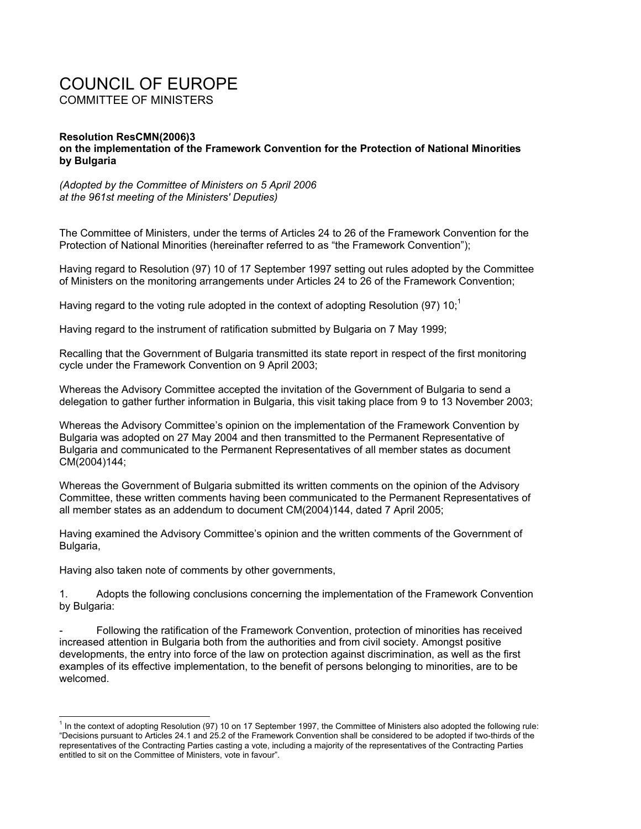## COUNCIL OF EUROPE COMMITTEE OF MINISTERS

## **Resolution ResCMN(2006)3 on the implementation of the Framework Convention for the Protection of National Minorities by Bulgaria**

*(Adopted by the Committee of Ministers on 5 April 2006 at the 961st meeting of the Ministers' Deputies)* 

The Committee of Ministers, under the terms of Articles 24 to 26 of the Framework Convention for the Protection of National Minorities (hereinafter referred to as "the Framework Convention");

Having regard to Resolution (97) 10 of 17 September 1997 setting out rules adopted by the Committee of Ministers on the monitoring arrangements under Articles 24 to 26 of the Framework Convention;

Having regard to the voting rule adopted in the context of adopting Resolution (97)  $10<sup>1</sup>$ 

Having regard to the instrument of ratification submitted by Bulgaria on 7 May 1999;

Recalling that the Government of Bulgaria transmitted its state report in respect of the first monitoring cycle under the Framework Convention on 9 April 2003;

Whereas the Advisory Committee accepted the invitation of the Government of Bulgaria to send a delegation to gather further information in Bulgaria, this visit taking place from 9 to 13 November 2003;

Whereas the Advisory Committee's opinion on the implementation of the Framework Convention by Bulgaria was adopted on 27 May 2004 and then transmitted to the Permanent Representative of Bulgaria and communicated to the Permanent Representatives of all member states as document CM(2004)144;

Whereas the Government of Bulgaria submitted its written comments on the opinion of the Advisory Committee, these written comments having been communicated to the Permanent Representatives of all member states as an addendum to document CM(2004)144, dated 7 April 2005;

Having examined the Advisory Committee's opinion and the written comments of the Government of Bulgaria,

Having also taken note of comments by other governments,

l

1. Adopts the following conclusions concerning the implementation of the Framework Convention by Bulgaria:

- Following the ratification of the Framework Convention, protection of minorities has received increased attention in Bulgaria both from the authorities and from civil society. Amongst positive developments, the entry into force of the law on protection against discrimination, as well as the first examples of its effective implementation, to the benefit of persons belonging to minorities, are to be welcomed.

<sup>&</sup>lt;sup>1</sup> In the context of adopting Resolution (97) 10 on 17 September 1997, the Committee of Ministers also adopted the following rule: "Decisions pursuant to Articles 24.1 and 25.2 of the Framework Convention shall be considered to be adopted if two-thirds of the representatives of the Contracting Parties casting a vote, including a majority of the representatives of the Contracting Parties entitled to sit on the Committee of Ministers, vote in favour".